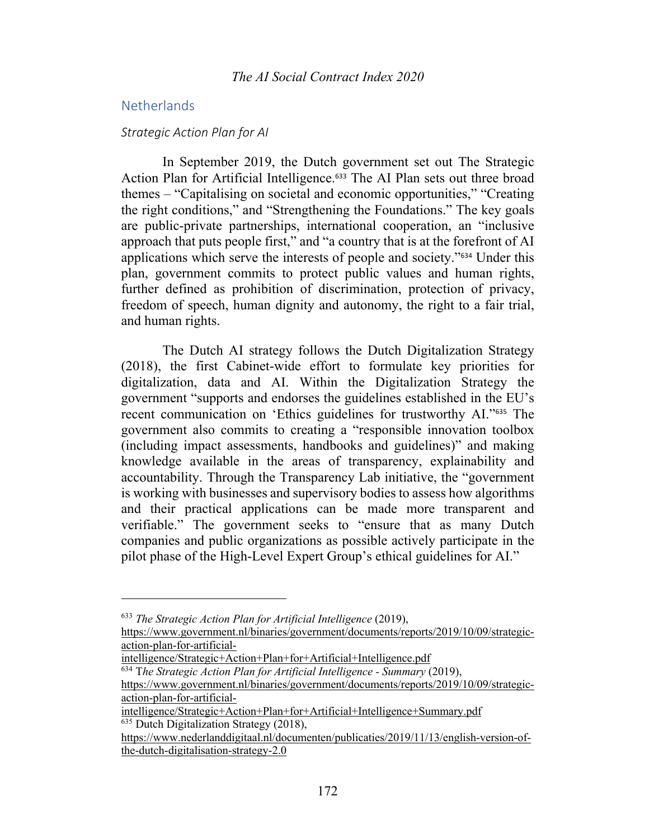# **Netherlands**

#### *Strategic Action Plan for AI*

In September 2019, the Dutch government set out The Strategic Action Plan for Artificial Intelligence.<sup>633</sup> The AI Plan sets out three broad themes – "Capitalising on societal and economic opportunities," "Creating the right conditions," and "Strengthening the Foundations." The key goals are public-private partnerships, international cooperation, an "inclusive approach that puts people first," and "a country that is at the forefront of AI applications which serve the interests of people and society."<sup>634</sup> Under this plan, government commits to protect public values and human rights, further defined as prohibition of discrimination, protection of privacy, freedom of speech, human dignity and autonomy, the right to a fair trial, and human rights.

The Dutch AI strategy follows the Dutch Digitalization Strategy (2018), the first Cabinet-wide effort to formulate key priorities for digitalization, data and AI. Within the Digitalization Strategy the government "supports and endorses the guidelines established in the EU's recent communication on 'Ethics guidelines for trustworthy AI."<sup>635</sup> The government also commits to creating a "responsible innovation toolbox (including impact assessments, handbooks and guidelines)" and making knowledge available in the areas of transparency, explainability and accountability. Through the Transparency Lab initiative, the "government is working with businesses and supervisory bodies to assess how algorithms and their practical applications can be made more transparent and verifiable." The government seeks to "ensure that as many Dutch companies and public organizations as possible actively participate in the pilot phase of the High-Level Expert Group's ethical guidelines for AI."

https://www.government.nl/binaries/government/documents/reports/2019/10/09/strategicaction-plan-for-artificial-

<sup>633</sup> *The Strategic Action Plan for Artificial Intelligence* (2019),

https://www.government.nl/binaries/government/documents/reports/2019/10/09/strategicaction-plan-for-artificial-

intelligence/Strategic+Action+Plan+for+Artificial+Intelligence.pdf

<sup>634</sup> T*he Strategic Action Plan for Artificial Intelligence - Summary* (2019),

intelligence/Strategic+Action+Plan+for+Artificial+Intelligence+Summary.pdf  $635$  Dutch Digitalization Strategy (2018),

https://www.nederlanddigitaal.nl/documenten/publicaties/2019/11/13/english-version-ofthe-dutch-digitalisation-strategy-2.0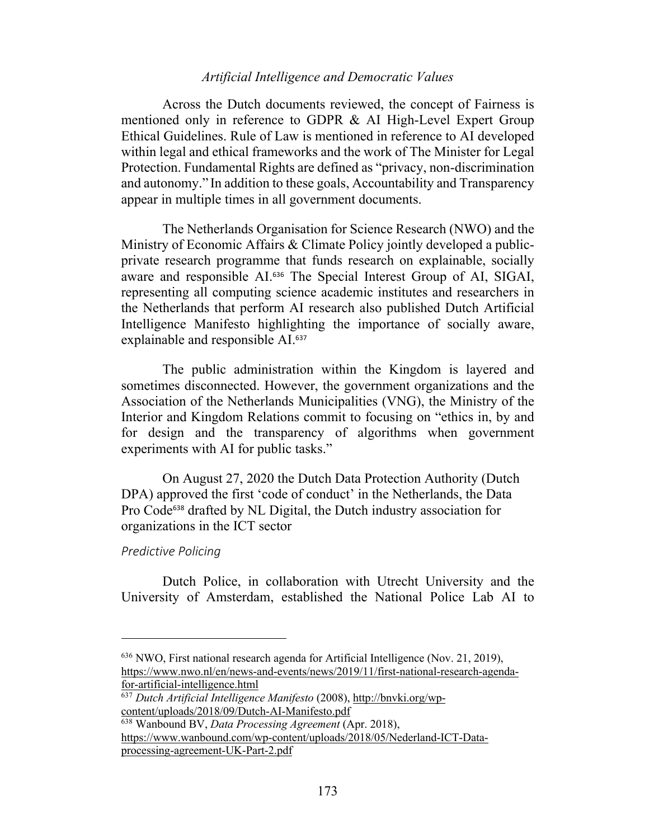Across the Dutch documents reviewed, the concept of Fairness is mentioned only in reference to GDPR & AI High-Level Expert Group Ethical Guidelines. Rule of Law is mentioned in reference to AI developed within legal and ethical frameworks and the work of The Minister for Legal Protection. Fundamental Rights are defined as "privacy, non-discrimination and autonomy." In addition to these goals, Accountability and Transparency appear in multiple times in all government documents.

The Netherlands Organisation for Science Research (NWO) and the Ministry of Economic Affairs & Climate Policy jointly developed a publicprivate research programme that funds research on explainable, socially aware and responsible AI.<sup>636</sup> The Special Interest Group of AI, SIGAI, representing all computing science academic institutes and researchers in the Netherlands that perform AI research also published Dutch Artificial Intelligence Manifesto highlighting the importance of socially aware, explainable and responsible AI.<sup>637</sup>

The public administration within the Kingdom is layered and sometimes disconnected. However, the government organizations and the Association of the Netherlands Municipalities (VNG), the Ministry of the Interior and Kingdom Relations commit to focusing on "ethics in, by and for design and the transparency of algorithms when government experiments with AI for public tasks."

On August 27, 2020 the Dutch Data Protection Authority (Dutch DPA) approved the first 'code of conduct' in the Netherlands, the Data Pro Code<sup>638</sup> drafted by NL Digital, the Dutch industry association for organizations in the ICT sector

#### *Predictive Policing*

Dutch Police, in collaboration with Utrecht University and the University of Amsterdam, established the National Police Lab AI to

<sup>636</sup> NWO, First national research agenda for Artificial Intelligence (Nov. 21, 2019), https://www.nwo.nl/en/news-and-events/news/2019/11/first-national-research-agendafor-artificial-intelligence.html

<sup>637</sup> *Dutch Artificial Intelligence Manifesto* (2008), http://bnvki.org/wpcontent/uploads/2018/09/Dutch-AI-Manifesto.pdf

<sup>638</sup> Wanbound BV, *Data Processing Agreement* (Apr. 2018), https://www.wanbound.com/wp-content/uploads/2018/05/Nederland-ICT-Dataprocessing-agreement-UK-Part-2.pdf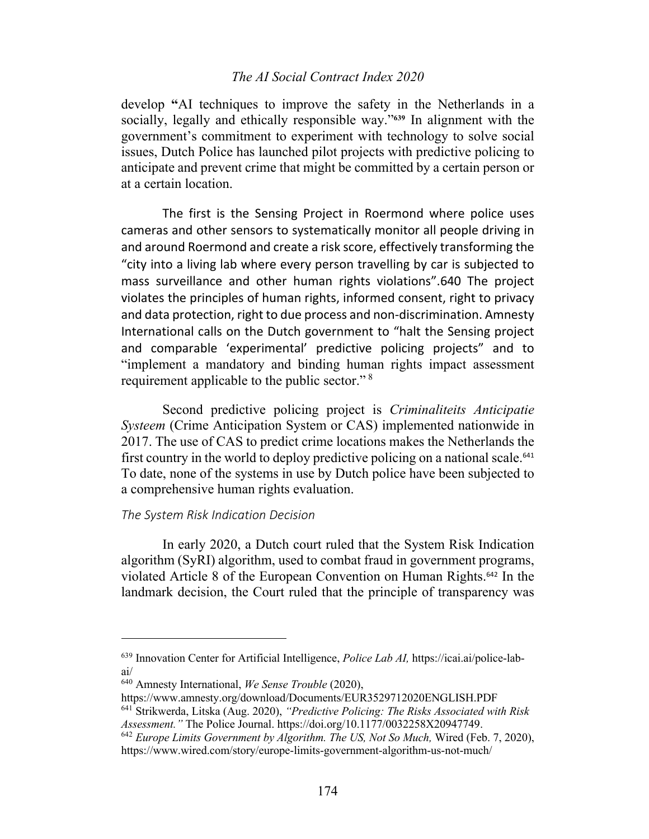# *The AI Social Contract Index 2020*

develop **"**AI techniques to improve the safety in the Netherlands in a socially, legally and ethically responsible way."**<sup>639</sup>** In alignment with the government's commitment to experiment with technology to solve social issues, Dutch Police has launched pilot projects with predictive policing to anticipate and prevent crime that might be committed by a certain person or at a certain location.

The first is the Sensing Project in Roermond where police uses cameras and other sensors to systematically monitor all people driving in and around Roermond and create a risk score, effectively transforming the "city into a living lab where every person travelling by car is subjected to mass surveillance and other human rights violations".640 The project violates the principles of human rights, informed consent, right to privacy and data protection, right to due process and non-discrimination. Amnesty International calls on the Dutch government to "halt the Sensing project and comparable 'experimental' predictive policing projects" and to "implement a mandatory and binding human rights impact assessment requirement applicable to the public sector." <sup>8</sup>

Second predictive policing project is *Criminaliteits Anticipatie Systeem* (Crime Anticipation System or CAS) implemented nationwide in 2017. The use of CAS to predict crime locations makes the Netherlands the first country in the world to deploy predictive policing on a national scale.<sup>641</sup> To date, none of the systems in use by Dutch police have been subjected to a comprehensive human rights evaluation.

#### *The System Risk Indication Decision*

In early 2020, a Dutch court ruled that the System Risk Indication algorithm (SyRI) algorithm, used to combat fraud in government programs, violated Article 8 of the European Convention on Human Rights.<sup>642</sup> In the landmark decision, the Court ruled that the principle of transparency was

<sup>639</sup> Innovation Center for Artificial Intelligence, *Police Lab AI,* https://icai.ai/police-labai/

<sup>640</sup> Amnesty International, *We Sense Trouble* (2020),

https://www.amnesty.org/download/Documents/EUR3529712020ENGLISH.PDF

<sup>641</sup> Strikwerda, Litska (Aug. 2020), *"Predictive Policing: The Risks Associated with Risk Assessment."* The Police Journal. https://doi.org/10.1177/0032258X20947749.

<sup>642</sup> *Europe Limits Government by Algorithm. The US, Not So Much,* Wired (Feb. 7, 2020), https://www.wired.com/story/europe-limits-government-algorithm-us-not-much/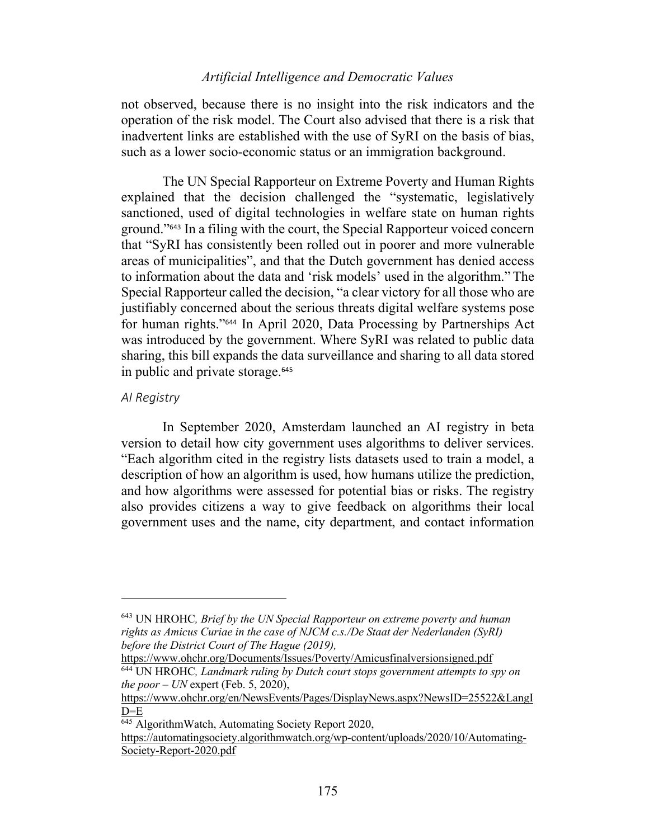not observed, because there is no insight into the risk indicators and the operation of the risk model. The Court also advised that there is a risk that inadvertent links are established with the use of SyRI on the basis of bias, such as a lower socio-economic status or an immigration background.

The UN Special Rapporteur on Extreme Poverty and Human Rights explained that the decision challenged the "systematic, legislatively sanctioned, used of digital technologies in welfare state on human rights ground."<sup>643</sup> In a filing with the court, the Special Rapporteur voiced concern that "SyRI has consistently been rolled out in poorer and more vulnerable areas of municipalities", and that the Dutch government has denied access to information about the data and 'risk models' used in the algorithm." The Special Rapporteur called the decision, "a clear victory for all those who are justifiably concerned about the serious threats digital welfare systems pose for human rights."<sup>644</sup> In April 2020, Data Processing by Partnerships Act was introduced by the government. Where SyRI was related to public data sharing, this bill expands the data surveillance and sharing to all data stored in public and private storage.<sup>645</sup>

#### *AI Registry*

In September 2020, Amsterdam launched an AI registry in beta version to detail how city government uses algorithms to deliver services. "Each algorithm cited in the registry lists datasets used to train a model, a description of how an algorithm is used, how humans utilize the prediction, and how algorithms were assessed for potential bias or risks. The registry also provides citizens a way to give feedback on algorithms their local government uses and the name, city department, and contact information

<sup>643</sup> UN HROHC*, Brief by the UN Special Rapporteur on extreme poverty and human rights as Amicus Curiae in the case of NJCM c.s./De Staat der Nederlanden (SyRI) before the District Court of The Hague (2019),* 

https://www.ohchr.org/Documents/Issues/Poverty/Amicusfinalversionsigned.pdf <sup>644</sup> UN HROHC*, Landmark ruling by Dutch court stops government attempts to spy on the poor – UN* expert (Feb. 5, 2020),

https://www.ohchr.org/en/NewsEvents/Pages/DisplayNews.aspx?NewsID=25522&LangI  $D = E$ 

 $\frac{645}{645}$  AlgorithmWatch, Automating Society Report 2020,

https://automatingsociety.algorithmwatch.org/wp-content/uploads/2020/10/Automating-Society-Report-2020.pdf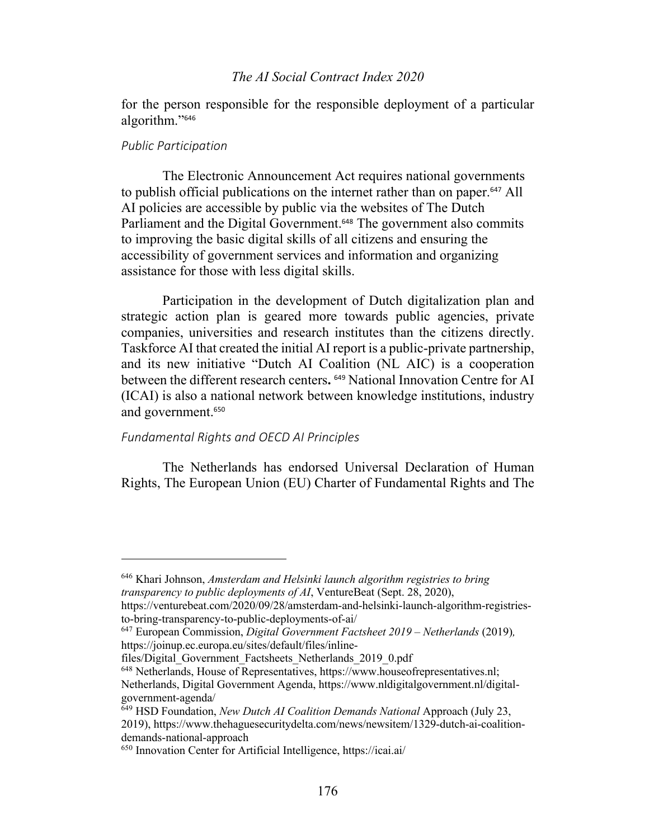# *The AI Social Contract Index 2020*

for the person responsible for the responsible deployment of a particular algorithm."<sup>646</sup>

#### *Public Participation*

The Electronic Announcement Act requires national governments to publish official publications on the internet rather than on paper.<sup>647</sup> All AI policies are accessible by public via the websites of The Dutch Parliament and the Digital Government. <sup>648</sup> The government also commits to improving the basic digital skills of all citizens and ensuring the accessibility of government services and information and organizing assistance for those with less digital skills.

Participation in the development of Dutch digitalization plan and strategic action plan is geared more towards public agencies, private companies, universities and research institutes than the citizens directly. Taskforce AI that created the initial AI report is a public-private partnership, and its new initiative "Dutch AI Coalition (NL AIC) is a cooperation between the different research centers**.** <sup>649</sup> National Innovation Centre for AI (ICAI) is also a national network between knowledge institutions, industry and government.<sup>650</sup>

### *Fundamental Rights and OECD AI Principles*

The Netherlands has endorsed Universal Declaration of Human Rights, The European Union (EU) Charter of Fundamental Rights and The

files/Digital Government Factsheets Netherlands 2019 0.pdf

<sup>646</sup> Khari Johnson, *Amsterdam and Helsinki launch algorithm registries to bring transparency to public deployments of AI*, VentureBeat (Sept. 28, 2020),

https://venturebeat.com/2020/09/28/amsterdam-and-helsinki-launch-algorithm-registriesto-bring-transparency-to-public-deployments-of-ai/

<sup>647</sup> European Commission, *Digital Government Factsheet 2019 – Netherlands* (2019)*,* https://joinup.ec.europa.eu/sites/default/files/inline-

<sup>648</sup> Netherlands, House of Representatives, https://www.houseofrepresentatives.nl; Netherlands, Digital Government Agenda, https://www.nldigitalgovernment.nl/digitalgovernment-agenda/

<sup>649</sup> HSD Foundation, *New Dutch AI Coalition Demands National* Approach (July 23, 2019), https://www.thehaguesecuritydelta.com/news/newsitem/1329-dutch-ai-coalitiondemands-national-approach

<sup>650</sup> Innovation Center for Artificial Intelligence, https://icai.ai/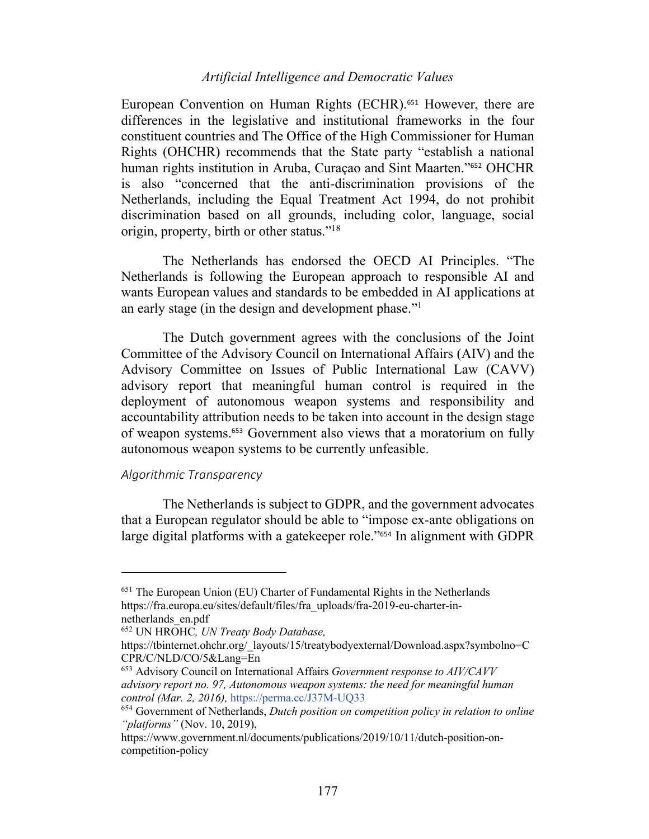European Convention on Human Rights (ECHR).<sup>651</sup> However, there are differences in the legislative and institutional frameworks in the four constituent countries and The Office of the High Commissioner for Human Rights (OHCHR) recommends that the State party "establish a national human rights institution in Aruba, Curaçao and Sint Maarten."<sup>652</sup> OHCHR is also "concerned that the anti-discrimination provisions of the Netherlands, including the Equal Treatment Act 1994, do not prohibit discrimination based on all grounds, including color, language, social origin, property, birth or other status."18

The Netherlands has endorsed the OECD AI Principles. "The Netherlands is following the European approach to responsible AI and wants European values and standards to be embedded in AI applications at an early stage (in the design and development phase."1

The Dutch government agrees with the conclusions of the Joint Committee of the Advisory Council on International Affairs (AIV) and the Advisory Committee on Issues of Public International Law (CAVV) advisory report that meaningful human control is required in the deployment of autonomous weapon systems and responsibility and accountability attribution needs to be taken into account in the design stage of weapon systems. <sup>653</sup> Government also views that a moratorium on fully autonomous weapon systems to be currently unfeasible.

#### *Algorithmic Transparency*

The Netherlands is subject to GDPR, and the government advocates that a European regulator should be able to "impose ex-ante obligations on large digital platforms with a gatekeeper role."<sup>654</sup> In alignment with GDPR

<sup>651</sup> The European Union (EU) Charter of Fundamental Rights in the Netherlands https://fra.europa.eu/sites/default/files/fra\_uploads/fra-2019-eu-charter-innetherlands\_en.pdf

<sup>652</sup> UN HROHC*, UN Treaty Body Database,* 

https://tbinternet.ohchr.org/\_layouts/15/treatybodyexternal/Download.aspx?symbolno=C CPR/C/NLD/CO/5&Lang=En

<sup>653</sup> Advisory Council on International Affairs *Government response to AIV/CAVV advisory report no. 97, Autonomous weapon systems: the need for meaningful human control (Mar. 2, 2016),* https://perma.cc/J37M-UQ33

<sup>654</sup> Government of Netherlands, *Dutch position on competition policy in relation to online "platforms"* (Nov. 10, 2019),

https://www.government.nl/documents/publications/2019/10/11/dutch-position-oncompetition-policy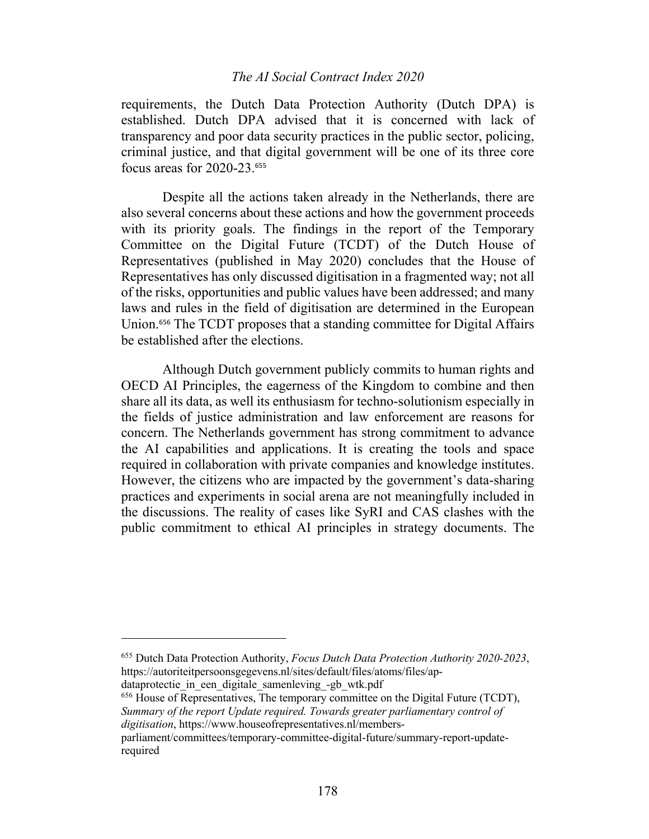### *The AI Social Contract Index 2020*

requirements, the Dutch Data Protection Authority (Dutch DPA) is established. Dutch DPA advised that it is concerned with lack of transparency and poor data security practices in the public sector, policing, criminal justice, and that digital government will be one of its three core focus areas for 2020-23. 655

Despite all the actions taken already in the Netherlands, there are also several concerns about these actions and how the government proceeds with its priority goals. The findings in the report of the Temporary Committee on the Digital Future (TCDT) of the Dutch House of Representatives (published in May 2020) concludes that the House of Representatives has only discussed digitisation in a fragmented way; not all of the risks, opportunities and public values have been addressed; and many laws and rules in the field of digitisation are determined in the European Union.<sup>656</sup> The TCDT proposes that a standing committee for Digital Affairs be established after the elections.

Although Dutch government publicly commits to human rights and OECD AI Principles, the eagerness of the Kingdom to combine and then share all its data, as well its enthusiasm for techno-solutionism especially in the fields of justice administration and law enforcement are reasons for concern. The Netherlands government has strong commitment to advance the AI capabilities and applications. It is creating the tools and space required in collaboration with private companies and knowledge institutes. However, the citizens who are impacted by the government's data-sharing practices and experiments in social arena are not meaningfully included in the discussions. The reality of cases like SyRI and CAS clashes with the public commitment to ethical AI principles in strategy documents. The

<sup>656</sup> House of Representatives, The temporary committee on the Digital Future (TCDT), *Summary of the report Update required. Towards greater parliamentary control of digitisation*, https://www.houseofrepresentatives.nl/members-

<sup>655</sup> Dutch Data Protection Authority, *Focus Dutch Data Protection Authority 2020-2023*, https://autoriteitpersoonsgegevens.nl/sites/default/files/atoms/files/ap-

dataprotectie in een digitale samenleving -gb wtk.pdf

parliament/committees/temporary-committee-digital-future/summary-report-updaterequired